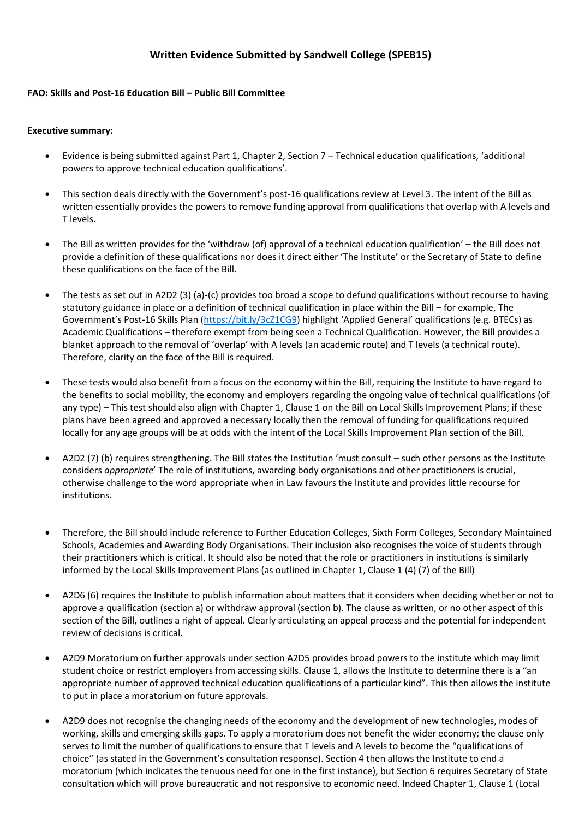# **Written Evidence Submitted by Sandwell College (SPEB15)**

#### **FAO: Skills and Post-16 Education Bill – Public Bill Committee**

#### **Executive summary:**

- Evidence is being submitted against Part 1, Chapter 2, Section 7 Technical education qualifications, 'additional powers to approve technical education qualifications'.
- This section deals directly with the Government's post-16 qualifications review at Level 3. The intent of the Bill as written essentially provides the powers to remove funding approval from qualifications that overlap with A levels and T levels.
- The Bill as written provides for the 'withdraw (of) approval of a technical education qualification' the Bill does not provide a definition of these qualifications nor does it direct either 'The Institute' or the Secretary of State to define these qualifications on the face of the Bill.
- The tests as set out in A2D2 (3) (a)-(c) provides too broad a scope to defund qualifications without recourse to having statutory guidance in place or a definition of technical qualification in place within the Bill – for example, The Government's Post-16 Skills Plan [\(https://bit.ly/3cZ1CG9](https://bit.ly/3cZ1CG9)) highlight 'Applied General' qualifications (e.g. BTECs) as Academic Qualifications – therefore exempt from being seen a Technical Qualification. However, the Bill provides a blanket approach to the removal of 'overlap' with A levels (an academic route) and T levels (a technical route). Therefore, clarity on the face of the Bill is required.
- These tests would also benefit from a focus on the economy within the Bill, requiring the Institute to have regard to the benefits to social mobility, the economy and employers regarding the ongoing value of technical qualifications (of any type) – This test should also align with Chapter 1, Clause 1 on the Bill on Local Skills Improvement Plans; if these plans have been agreed and approved a necessary locally then the removal of funding for qualifications required locally for any age groups will be at odds with the intent of the Local Skills Improvement Plan section of the Bill.
- A2D2 (7) (b) requires strengthening. The Bill states the Institution 'must consult such other persons as the Institute considers *appropriate*' The role of institutions, awarding body organisations and other practitioners is crucial, otherwise challenge to the word appropriate when in Law favours the Institute and provides little recourse for institutions.
- Therefore, the Bill should include reference to Further Education Colleges, Sixth Form Colleges, Secondary Maintained Schools, Academies and Awarding Body Organisations. Their inclusion also recognises the voice of students through their practitioners which is critical. It should also be noted that the role or practitioners in institutions is similarly informed by the Local Skills Improvement Plans (as outlined in Chapter 1, Clause 1 (4) (7) of the Bill)
- A2D6 (6) requires the Institute to publish information about matters that it considers when deciding whether or not to approve a qualification (section a) or withdraw approval (section b). The clause as written, or no other aspect of this section of the Bill, outlines a right of appeal. Clearly articulating an appeal process and the potential for independent review of decisions is critical.
- A2D9 Moratorium on further approvals under section A2D5 provides broad powers to the institute which may limit student choice or restrict employers from accessing skills. Clause 1, allows the Institute to determine there is a "an appropriate number of approved technical education qualifications of a particular kind". This then allows the institute to put in place a moratorium on future approvals.
- A2D9 does not recognise the changing needs of the economy and the development of new technologies, modes of working, skills and emerging skills gaps. To apply a moratorium does not benefit the wider economy; the clause only serves to limit the number of qualifications to ensure that T levels and A levels to become the "qualifications of choice" (as stated in the Government's consultation response). Section 4 then allows the Institute to end a moratorium (which indicates the tenuous need for one in the first instance), but Section 6 requires Secretary of State consultation which will prove bureaucratic and not responsive to economic need. Indeed Chapter 1, Clause 1 (Local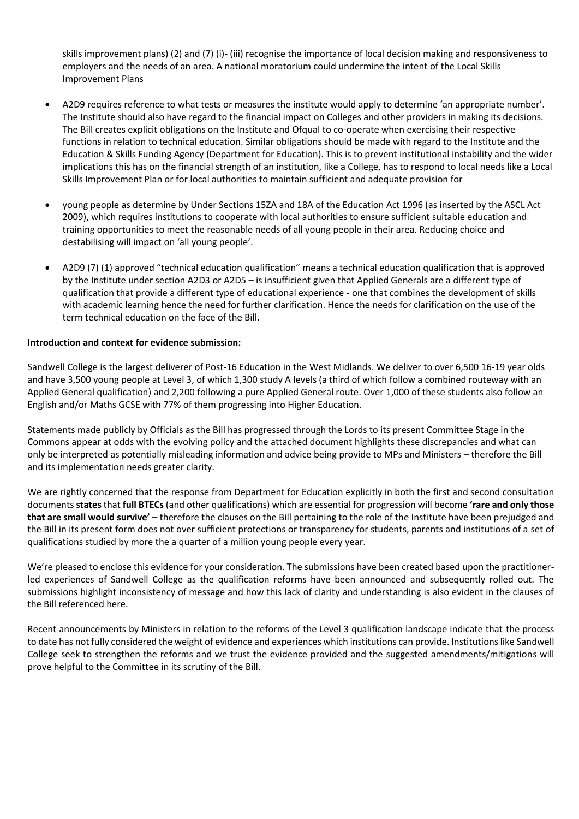skills improvement plans) (2) and (7) (i)- (iii) recognise the importance of local decision making and responsiveness to employers and the needs of an area. A national moratorium could undermine the intent of the Local Skills Improvement Plans

- A2D9 requires reference to what tests or measures the institute would apply to determine 'an appropriate number'. The Institute should also have regard to the financial impact on Colleges and other providers in making its decisions. The Bill creates explicit obligations on the Institute and Ofqual to co-operate when exercising their respective functions in relation to technical education. Similar obligations should be made with regard to the Institute and the Education & Skills Funding Agency (Department for Education). This is to prevent institutional instability and the wider implications this has on the financial strength of an institution, like a College, has to respond to local needs like a Local Skills Improvement Plan or for local authorities to maintain sufficient and adequate provision for
- young people as determine by Under Sections 15ZA and 18A of the Education Act 1996 (as inserted by the ASCL Act 2009), which requires institutions to cooperate with local authorities to ensure sufficient suitable education and training opportunities to meet the reasonable needs of all young people in their area. Reducing choice and destabilising will impact on 'all young people'.
- A2D9 (7) (1) approved "technical education qualification" means a technical education qualification that is approved by the Institute under section A2D3 or A2D5 – is insufficient given that Applied Generals are a different type of qualification that provide a different type of educational experience - one that combines the development of skills with academic learning hence the need for further clarification. Hence the needs for clarification on the use of the term technical education on the face of the Bill.

### **Introduction and context for evidence submission:**

Sandwell College is the largest deliverer of Post-16 Education in the West Midlands. We deliver to over 6,500 16-19 year olds and have 3,500 young people at Level 3, of which 1,300 study A levels (a third of which follow a combined routeway with an Applied General qualification) and 2,200 following a pure Applied General route. Over 1,000 of these students also follow an English and/or Maths GCSE with 77% of them progressing into Higher Education.

Statements made publicly by Officials as the Bill has progressed through the Lords to its present Committee Stage in the Commons appear at odds with the evolving policy and the attached document highlights these discrepancies and what can only be interpreted as potentially misleading information and advice being provide to MPs and Ministers – therefore the Bill and its implementation needs greater clarity.

We are rightly concerned that the response from Department for Education explicitly in both the first and second consultation documents **states**that **full BTECs**(and other qualifications) which are essential for progression will become **'rare and only those that are small would survive'** – therefore the clauses on the Bill pertaining to the role of the Institute have been prejudged and the Bill in its present form does not over sufficient protections or transparency for students, parents and institutions of a set of qualifications studied by more the a quarter of a million young people every year.

We're pleased to enclose this evidence for your consideration. The submissions have been created based upon the practitionerled experiences of Sandwell College as the qualification reforms have been announced and subsequently rolled out. The submissions highlight inconsistency of message and how this lack of clarity and understanding is also evident in the clauses of the Bill referenced here.

Recent announcements by Ministers in relation to the reforms of the Level 3 qualification landscape indicate that the process to date has not fully considered the weight of evidence and experiences which institutions can provide. Institutions like Sandwell College seek to strengthen the reforms and we trust the evidence provided and the suggested amendments/mitigations will prove helpful to the Committee in its scrutiny of the Bill.